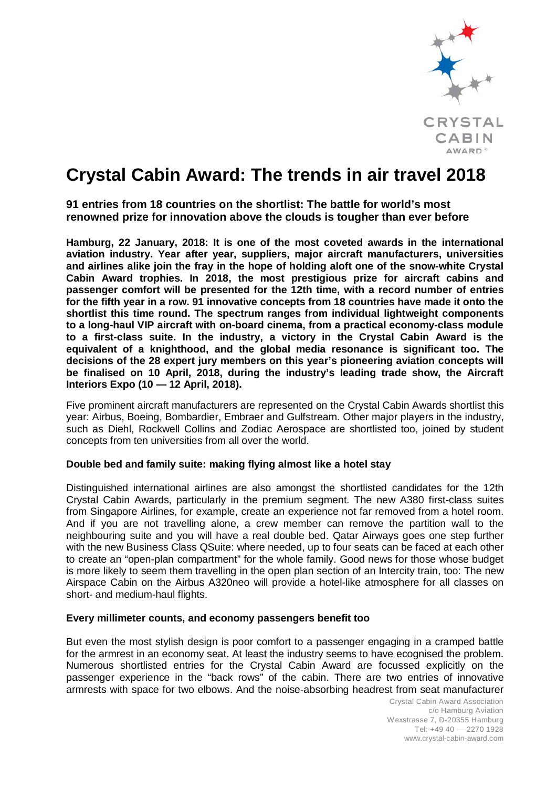

# **Crystal Cabin Award: The trends in air travel 2018**

**91 entries from 18 countries on the shortlist: The battle for world's most renowned prize for innovation above the clouds is tougher than ever before**

**Hamburg, 22 January, 2018: It is one of the most coveted awards in the international aviation industry. Year after year, suppliers, major aircraft manufacturers, universities and airlines alike join the fray in the hope of holding aloft one of the snow-white Crystal Cabin Award trophies. In 2018, the most prestigious prize for aircraft cabins and passenger comfort will be presented for the 12th time, with a record number of entries for the fifth year in a row. 91 innovative concepts from 18 countries have made it onto the shortlist this time round. The spectrum ranges from individual lightweight components to a long-haul VIP aircraft with on-board cinema, from a practical economy-class module to a first-class suite. In the industry, a victory in the Crystal Cabin Award is the equivalent of a knighthood, and the global media resonance is significant too. The decisions of the 28 expert jury members on this year's pioneering aviation concepts will be finalised on 10 April, 2018, during the industry's leading trade show, the Aircraft Interiors Expo (10 — 12 April, 2018).**

Five prominent aircraft manufacturers are represented on the Crystal Cabin Awards shortlist this year: Airbus, Boeing, Bombardier, Embraer and Gulfstream. Other major players in the industry, such as Diehl, Rockwell Collins and Zodiac Aerospace are shortlisted too, joined by student concepts from ten universities from all over the world.

#### **Double bed and family suite: making flying almost like a hotel stay**

Distinguished international airlines are also amongst the shortlisted candidates for the 12th Crystal Cabin Awards, particularly in the premium segment. The new A380 first-class suites from Singapore Airlines, for example, create an experience not far removed from a hotel room. And if you are not travelling alone, a crew member can remove the partition wall to the neighbouring suite and you will have a real double bed. Qatar Airways goes one step further with the new Business Class QSuite: where needed, up to four seats can be faced at each other to create an "open-plan compartment" for the whole family. Good news for those whose budget is more likely to seem them travelling in the open plan section of an Intercity train, too: The new Airspace Cabin on the Airbus A320neo will provide a hotel-like atmosphere for all classes on short- and medium-haul flights.

#### **Every millimeter counts, and economy passengers benefit too**

But even the most stylish design is poor comfort to a passenger engaging in a cramped battle for the armrest in an economy seat. At least the industry seems to have ecognised the problem. Numerous shortlisted entries for the Crystal Cabin Award are focussed explicitly on the passenger experience in the "back rows" of the cabin. There are two entries of innovative armrests with space for two elbows. And the noise-absorbing headrest from seat manufacturer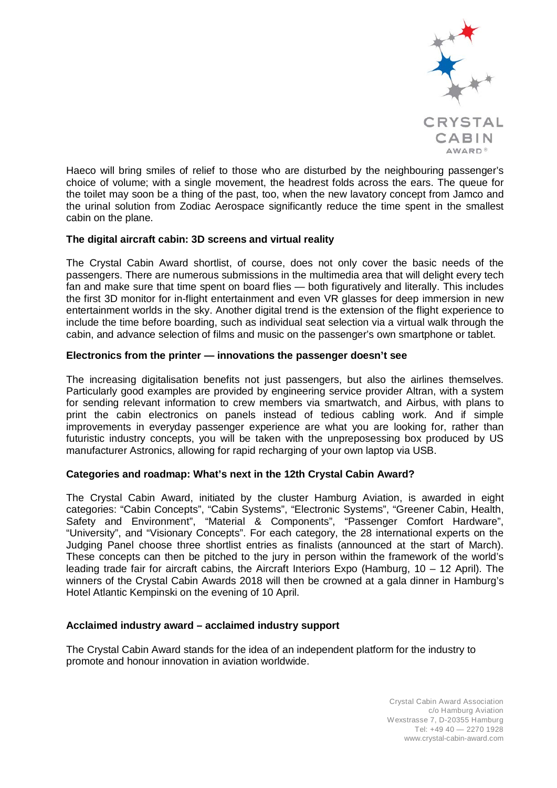

Haeco will bring smiles of relief to those who are disturbed by the neighbouring passenger's choice of volume; with a single movement, the headrest folds across the ears. The queue for the toilet may soon be a thing of the past, too, when the new lavatory concept from Jamco and the urinal solution from Zodiac Aerospace significantly reduce the time spent in the smallest cabin on the plane.

# **The digital aircraft cabin: 3D screens and virtual reality**

The Crystal Cabin Award shortlist, of course, does not only cover the basic needs of the passengers. There are numerous submissions in the multimedia area that will delight every tech fan and make sure that time spent on board flies — both figuratively and literally. This includes the first 3D monitor for in-flight entertainment and even VR glasses for deep immersion in new entertainment worlds in the sky. Another digital trend is the extension of the flight experience to include the time before boarding, such as individual seat selection via a virtual walk through the cabin, and advance selection of films and music on the passenger's own smartphone or tablet.

### **Electronics from the printer — innovations the passenger doesn't see**

The increasing digitalisation benefits not just passengers, but also the airlines themselves. Particularly good examples are provided by engineering service provider Altran, with a system for sending relevant information to crew members via smartwatch, and Airbus, with plans to print the cabin electronics on panels instead of tedious cabling work. And if simple improvements in everyday passenger experience are what you are looking for, rather than futuristic industry concepts, you will be taken with the unpreposessing box produced by US manufacturer Astronics, allowing for rapid recharging of your own laptop via USB.

# **Categories and roadmap: What's next in the 12th Crystal Cabin Award?**

The Crystal Cabin Award, initiated by the cluster Hamburg Aviation, is awarded in eight categories: "Cabin Concepts", "Cabin Systems", "Electronic Systems", "Greener Cabin, Health, Safety and Environment", "Material & Components", "Passenger Comfort Hardware", "University", and "Visionary Concepts". For each category, the 28 international experts on the Judging Panel choose three shortlist entries as finalists (announced at the start of March). These concepts can then be pitched to the jury in person within the framework of the world's leading trade fair for aircraft cabins, the Aircraft Interiors Expo (Hamburg, 10 – 12 April). The winners of the Crystal Cabin Awards 2018 will then be crowned at a gala dinner in Hamburg's Hotel Atlantic Kempinski on the evening of 10 April.

# **Acclaimed industry award – acclaimed industry support**

The Crystal Cabin Award stands for the idea of an independent platform for the industry to promote and honour innovation in aviation worldwide.